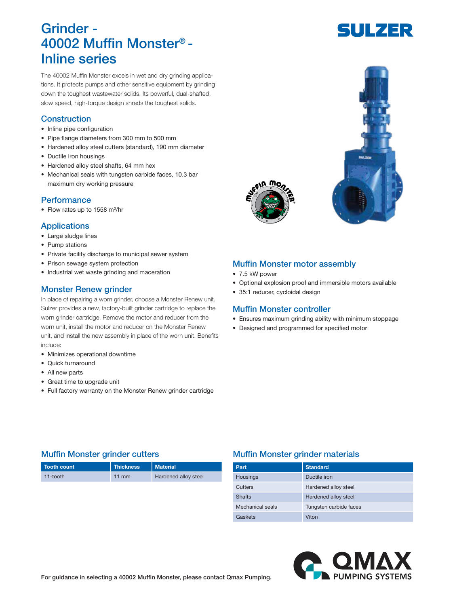# Grinder - 40002 Muffin Monster® - Inline series

The 40002 Muffin Monster excels in wet and dry grinding applications. It protects pumps and other sensitive equipment by grinding down the toughest wastewater solids. Its powerful, dual-shafted, slow speed, high-torque design shreds the toughest solids.

### **Construction**

- Inline pipe configuration
- Pipe flange diameters from 300 mm to 500 mm
- Hardened alloy steel cutters (standard), 190 mm diameter
- Ductile iron housings
- Hardened alloy steel shafts, 64 mm hex
- Mechanical seals with tungsten carbide faces, 10.3 bar maximum dry working pressure

### **Performance**

• Flow rates up to 1558 m<sup>3</sup>/hr

### Applications

- Large sludge lines
- Pump stations
- Private facility discharge to municipal sewer system
- Prison sewage system protection
- Industrial wet waste grinding and maceration

### Monster Renew grinder

In place of repairing a worn grinder, choose a Monster Renew unit. Sulzer provides a new, factory-built grinder cartridge to replace the worn grinder cartridge. Remove the motor and reducer from the worn unit, install the motor and reducer on the Monster Renew unit, and install the new assembly in place of the worn unit. Benefits include:

- Minimizes operational downtime
- Quick turnaround
- All new parts
- Great time to upgrade unit
- Full factory warranty on the Monster Renew grinder cartridge

## Muffin Monster motor assembly

- 7.5 kW power
- Optional explosion proof and immersible motors available
- 35:1 reducer, cycloidal design

### Muffin Monster controller

- Ensures maximum grinding ability with minimum stoppage
- Designed and programmed for specified motor

| Tooth count | <b>Thickness</b> | <b>Material</b>      |
|-------------|------------------|----------------------|
| 11-tooth    | 11 mm            | Hardened alloy steel |

### Muffin Monster grinder cutters **Muffin Monster grinder materials**

| Part             | <b>Standard</b>        |
|------------------|------------------------|
| Housings         | Ductile iron           |
| Cutters          | Hardened alloy steel   |
| <b>Shafts</b>    | Hardened alloy steel   |
| Mechanical seals | Tungsten carbide faces |
| Gaskets          | Viton                  |







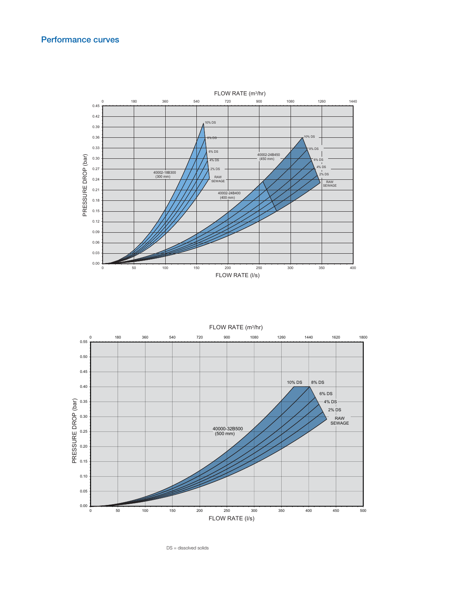### Performance curves



0 180 360 540 720 900 1080 1260 1440 1620 1800  $0.00$ 0.05 0.10 0.15 0.20 0.25 0.30 ີດອີ<br>0.35<br>O<br>O 0.40 0.45 0.50 0.55 0 50 100 150 200 250 300 350 400 450 500 8% DS 6% DS 4% DS 2% DS RAW SEWAGE 40000-32B500 (500 mm) 10% DS PRESSURE DR FLOW RATE (m3 /hr) FLOW RATE (I/s)

DS = dissolved solids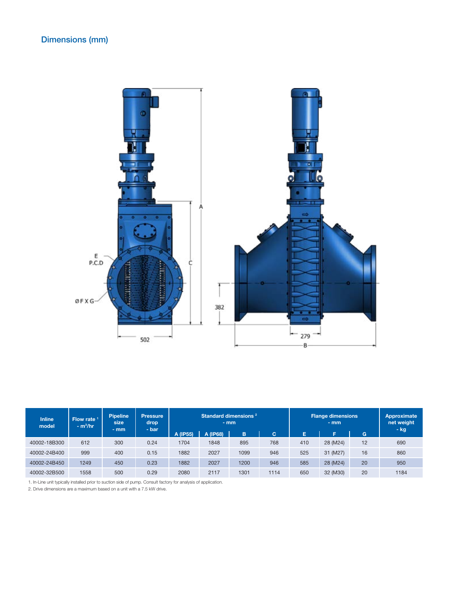

| <b>Inline</b><br>model | Flow rate $1$<br>$- m3/hr$ | <b>Pipeline</b><br>size<br>$-$ mm | <b>Pressure</b><br>drop<br>$-$ bar | Standard dimensions <sup>2</sup><br>$-$ mm<br>A (IP68)<br>B<br>A (IP55)<br>c. |      |      | Е    | <b>Flange dimensions</b><br>$-$ mm<br>E | G        | Approximate<br>net weight<br>- kg |      |  |
|------------------------|----------------------------|-----------------------------------|------------------------------------|-------------------------------------------------------------------------------|------|------|------|-----------------------------------------|----------|-----------------------------------|------|--|
| 40002-18B300           | 612                        | 300                               | 0.24                               | 1704                                                                          | 1848 | 895  | 768  | 410                                     | 28 (M24) | 12                                | 690  |  |
| 40002-24B400           | 999                        | 400                               | 0.15                               | 1882                                                                          | 2027 | 1099 | 946  | 525                                     | 31 (M27) | 16                                | 860  |  |
| 40002-24B450           | 1249                       | 450                               | 0.23                               | 1882                                                                          | 2027 | 1200 | 946  | 585                                     | 28 (M24) | 20                                | 950  |  |
| 40002-32B500           | 1558                       | 500                               | 0.29                               | 2080                                                                          | 2117 | 1301 | 1114 | 650                                     | 32 (M30) | 20                                | 1184 |  |

1. In-Line unit typically installed prior to suction side of pump. Consult factory for analysis of application.

2. Drive dimensions are a maximum based on a unit with a 7.5 kW drive.